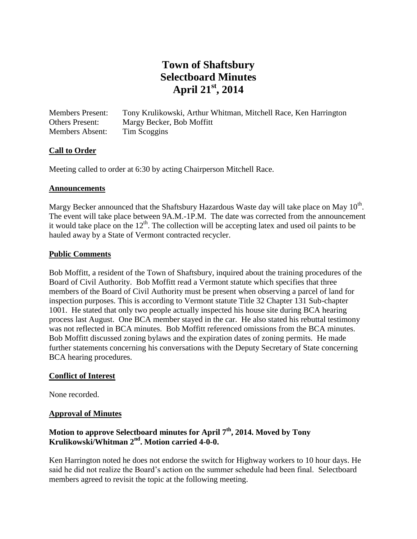# **Town of Shaftsbury Selectboard Minutes April 21st, 2014**

Members Present: Tony Krulikowski, Arthur Whitman, Mitchell Race, Ken Harrington Others Present: Margy Becker, Bob Moffitt Members Absent: Tim Scoggins

# **Call to Order**

Meeting called to order at 6:30 by acting Chairperson Mitchell Race.

#### **Announcements**

Margy Becker announced that the Shaftsbury Hazardous Waste day will take place on May  $10^{th}$ . The event will take place between 9A.M.-1P.M. The date was corrected from the announcement it would take place on the  $12<sup>th</sup>$ . The collection will be accepting latex and used oil paints to be hauled away by a State of Vermont contracted recycler.

#### **Public Comments**

Bob Moffitt, a resident of the Town of Shaftsbury, inquired about the training procedures of the Board of Civil Authority. Bob Moffitt read a Vermont statute which specifies that three members of the Board of Civil Authority must be present when observing a parcel of land for inspection purposes. This is according to Vermont statute Title 32 Chapter 131 Sub-chapter 1001. He stated that only two people actually inspected his house site during BCA hearing process last August. One BCA member stayed in the car. He also stated his rebuttal testimony was not reflected in BCA minutes. Bob Moffitt referenced omissions from the BCA minutes. Bob Moffitt discussed zoning bylaws and the expiration dates of zoning permits. He made further statements concerning his conversations with the Deputy Secretary of State concerning BCA hearing procedures.

#### **Conflict of Interest**

None recorded.

#### **Approval of Minutes**

# **Motion to approve Selectboard minutes for April 7th, 2014. Moved by Tony Krulikowski/Whitman 2nd. Motion carried 4-0-0.**

Ken Harrington noted he does not endorse the switch for Highway workers to 10 hour days. He said he did not realize the Board's action on the summer schedule had been final. Selectboard members agreed to revisit the topic at the following meeting.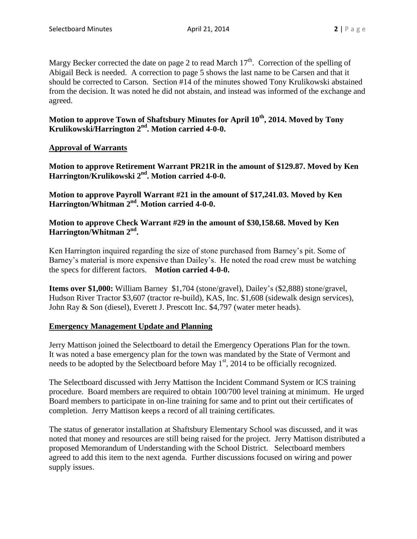Margy Becker corrected the date on page 2 to read March  $17<sup>th</sup>$ . Correction of the spelling of Abigail Beck is needed. A correction to page 5 shows the last name to be Carsen and that it should be corrected to Carson. Section #14 of the minutes showed Tony Krulikowski abstained from the decision. It was noted he did not abstain, and instead was informed of the exchange and agreed.

# **Motion to approve Town of Shaftsbury Minutes for April 10th, 2014. Moved by Tony Krulikowski/Harrington 2nd. Motion carried 4-0-0.**

# **Approval of Warrants**

**Motion to approve Retirement Warrant PR21R in the amount of \$129.87. Moved by Ken Harrington/Krulikowski 2 nd. Motion carried 4-0-0.**

**Motion to approve Payroll Warrant #21 in the amount of \$17,241.03. Moved by Ken Harrington/Whitman 2nd. Motion carried 4-0-0.**

# **Motion to approve Check Warrant #29 in the amount of \$30,158.68. Moved by Ken Harrington/Whitman 2nd .**

Ken Harrington inquired regarding the size of stone purchased from Barney's pit. Some of Barney's material is more expensive than Dailey's. He noted the road crew must be watching the specs for different factors. **Motion carried 4-0-0.**

**Items over \$1,000:** William Barney \$1,704 (stone/gravel), Dailey's (\$2,888) stone/gravel, Hudson River Tractor \$3,607 (tractor re-build), KAS, Inc. \$1,608 (sidewalk design services), John Ray & Son (diesel), Everett J. Prescott Inc. \$4,797 (water meter heads).

# **Emergency Management Update and Planning**

Jerry Mattison joined the Selectboard to detail the Emergency Operations Plan for the town. It was noted a base emergency plan for the town was mandated by the State of Vermont and needs to be adopted by the Selectboard before May 1<sup>st</sup>, 2014 to be officially recognized.

The Selectboard discussed with Jerry Mattison the Incident Command System or ICS training procedure. Board members are required to obtain 100/700 level training at minimum. He urged Board members to participate in on-line training for same and to print out their certificates of completion. Jerry Mattison keeps a record of all training certificates.

The status of generator installation at Shaftsbury Elementary School was discussed, and it was noted that money and resources are still being raised for the project. Jerry Mattison distributed a proposed Memorandum of Understanding with the School District. Selectboard members agreed to add this item to the next agenda. Further discussions focused on wiring and power supply issues.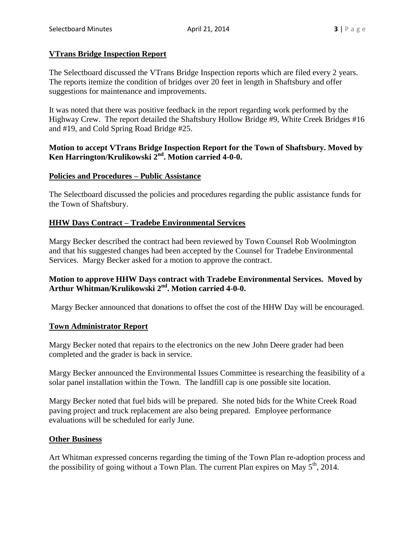#### **VTrans Bridge Inspection Report**

The Selectboard discussed the VTrans Bridge Inspection reports which are filed every 2 years. The reports itemize the condition of bridges over 20 feet in length in Shaftsbury and offer suggestions for maintenance and improvements.

It was noted that there was positive feedback in the report regarding work performed by the Highway Crew. The report detailed the Shaftsbury Hollow Bridge #9, White Creek Bridges #16 and #19, and Cold Spring Road Bridge #25.

## **Motion to accept VTrans Bridge Inspection Report for the Town of Shaftsbury. Moved by Ken Harrington/Krulikowski 2 nd. Motion carried 4-0-0.**

#### **Policies and Procedures – Public Assistance**

The Selectboard discussed the policies and procedures regarding the public assistance funds for the Town of Shaftsbury.

#### **HHW Days Contract – Tradebe Environmental Services**

Margy Becker described the contract had been reviewed by Town Counsel Rob Woolmington and that his suggested changes had been accepted by the Counsel for Tradebe Environmental Services. Margy Becker asked for a motion to approve the contract.

# **Motion to approve HHW Days contract with Tradebe Environmental Services. Moved by Arthur Whitman/Krulikowski 2 nd. Motion carried 4-0-0.**

Margy Becker announced that donations to offset the cost of the HHW Day will be encouraged.

#### **Town Administrator Report**

Margy Becker noted that repairs to the electronics on the new John Deere grader had been completed and the grader is back in service.

Margy Becker announced the Environmental Issues Committee is researching the feasibility of a solar panel installation within the Town. The landfill cap is one possible site location.

Margy Becker noted that fuel bids will be prepared. She noted bids for the White Creek Road paving project and truck replacement are also being prepared. Employee performance evaluations will be scheduled for early June.

#### **Other Business**

Art Whitman expressed concerns regarding the timing of the Town Plan re-adoption process and the possibility of going without a Town Plan. The current Plan expires on May  $5<sup>th</sup>$ , 2014.